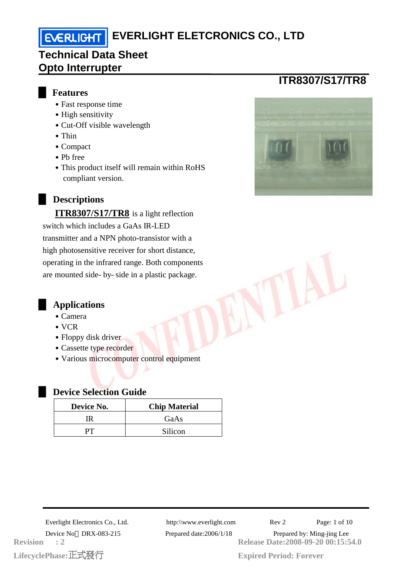# **EVERLIGHT ELETCRONICS CO., LTD**

## **Technical Data Sheet Opto Interrupter**

### █ **Features**

- Fast response time
- High sensitivity
- Cut-Off visible wavelength
- Thin
- ․Compact
- ․Pb free
- This product itself will remain within RoHS compliant version.

### **Descriptions**

**ITR8307/S17/TR8** is a light reflection switch which includes a GaAs IR-LED transmitter and a NPN photo-transistor with a high photosensitive receiver for short distance, operating in the infrared range. Both components are mounted side- by- side in a plastic package.

### █ **Applications**

- ․Camera
- $\bullet$  VCR
- Floppy disk driver
- Cassette type recorder
- Various microcomputer control equipment

#### **Device Selection Guide**

| Device No. | <b>Chip Material</b> |  |  |
|------------|----------------------|--|--|
|            | GaAs                 |  |  |
|            | Silicon              |  |  |

**LifecyclePhase: Revision : 2**

**Release Date:2008-09-20 00:15:54.0** Everlight Electronics Co., Ltd. http:\\www.everlight.com Rev 2 Page: 1 of 10 Device No DRX-083-215 Prepared date:2006/1/18 Prepared by: Ming-jing Lee



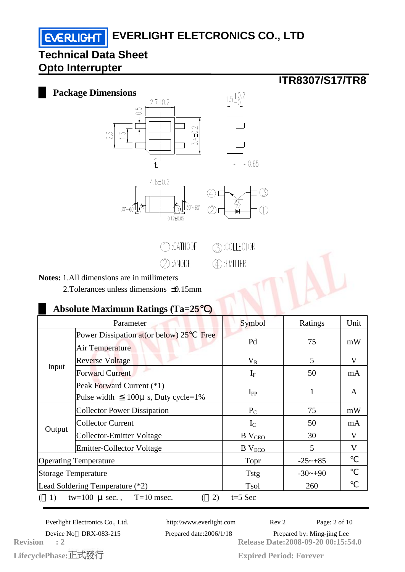**EVERLIGHT** 



2.Tolerances unless dimensions ±0.15mm

### █ **Absolute Maximum Ratings (Ta=25**℃**)**

| Parameter                                               |                                                                       | Symbol           | Ratings               | Unit |
|---------------------------------------------------------|-----------------------------------------------------------------------|------------------|-----------------------|------|
| Input                                                   | Power Dissipation at (or below) 25<br>Free<br>Air Temperature         | Pd               | 75                    | mW   |
|                                                         | <b>Reverse Voltage</b>                                                | $V_{R}$          | 5                     | V    |
|                                                         | <b>Forward Current</b>                                                | $I_{\rm F}$      | 50                    | mA   |
|                                                         | Peak Forward Current (*1)<br>Pulse width<br>$100\mu$ s, Duty cycle=1% | $I_{FP}$         | 1                     | A    |
| Output                                                  | <b>Collector Power Dissipation</b>                                    | $P_{C}$          | 75                    | mW   |
|                                                         | <b>Collector Current</b>                                              | $I_{\rm C}$      | 50                    | mA   |
|                                                         | <b>Collector-Emitter Voltage</b>                                      | $B$ $V_{CEO}$    | 30                    | V    |
|                                                         | <b>Emitter-Collector Voltage</b>                                      | $\rm B\ V_{ECO}$ | 5                     | V    |
| <b>Operating Temperature</b>                            |                                                                       | Topr             | $-25 \rightarrow +85$ |      |
| <b>Storage Temperature</b>                              |                                                                       | <b>Tstg</b>      | $-30$ ~+90            |      |
| Lead Soldering Temperature (*2)                         |                                                                       | Tsol             | 260                   |      |
| tw=100 $\mu$ sec., T=10 msec.<br>2)<br>(1)<br>$t=5$ Sec |                                                                       |                  |                       |      |

LifecyclePhase:正式發行 **Revision : 2** Everlight Electronics Co., Ltd. http:\\www.everlight.com Rev 2 Page: 2 of 10

**Release Date:2008-09-20 00:15:54.0** Device No DRX-083-215 Prepared date:2006/1/18 Prepared by: Ming-jing Lee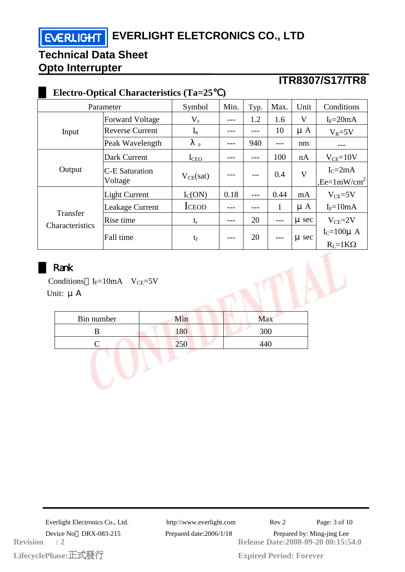**EVERLIGHT ELETCRONICS CO., LTD** 

## **Technical Data Sheet Opto Interrupter**

## **ITR8307/S17/TR8**

| <b>Electro-Optical Characteristics (Ta=25</b> |                                  |                  |      |      |      |           |                                        |
|-----------------------------------------------|----------------------------------|------------------|------|------|------|-----------|----------------------------------------|
| Parameter                                     |                                  | Symbol           | Min. | Typ. | Max. | Unit      | Conditions                             |
| Input                                         | <b>Forward Voltage</b>           | $\rm V_F$        |      | 1.2  | 1.6  | V         | $I_F = 20mA$                           |
|                                               | <b>Reverse Current</b>           | $I_{R}$          |      |      | 10   | $\mu A$   | $V_R = 5V$                             |
|                                               | Peak Wavelength                  | $\mathbf{P}$     |      | 940  |      | nm        |                                        |
| Output                                        | Dark Current                     | $I_{\text{CEO}}$ |      |      | 100  | nA        | $V_{CE}=10V$                           |
|                                               | <b>C-E Saturation</b><br>Voltage | $V_{CE}(sat)$    |      |      | 0.4  | V         | $IC=2mA$<br>$,$ Ee=1mW/cm <sup>2</sup> |
| Transfer<br>Characteristics                   | <b>Light Current</b>             | $I_{C}(ON)$      | 0.18 |      | 0.44 | mA        | $V_{CE}$ =5V                           |
|                                               | Leakage Current                  | <b>ICEOD</b>     |      |      | 1    | $\mu A$   | $I_F = 10mA$                           |
|                                               | Rise time                        | $t_{r}$          | ---  | 20   | ---  | $\mu$ sec | $V_{CE} = 2V$                          |
|                                               | Fall time                        | $t_f$            |      | 20   |      | $\mu$ sec | $I_C = 100\mu$ A<br>$R_I = 1K\Omega$   |

### █ Rank

Conditions  $I_F=10mA$   $V_{CE}=5V$ Unit: μ

| Bin number | Min | Max |
|------------|-----|-----|
|            | 180 | 300 |
|            | 250 |     |
|            |     |     |
|            |     |     |
|            |     |     |

MN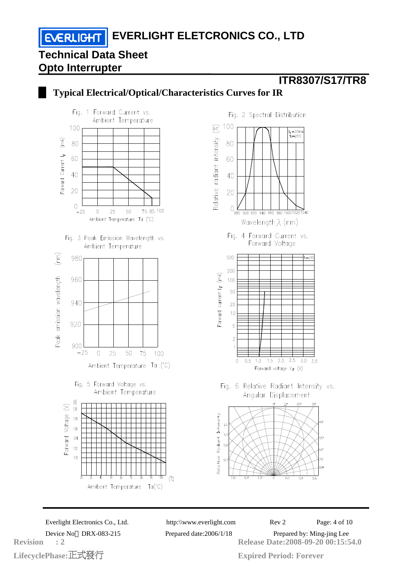**EVERLIGHT EVERLIGHT ELETCRONICS CO., LTD** 

## **Technical Data Sheet Opto Interrupter**

## **ITR8307/S17/TR8**



█ **Typical Electrical/Optical/Characteristics Curves for IR**

LifecyclePhase:正式發行 **Revision : 2**

**Release Date:2008-09-20 00:15:54.0** Everlight Electronics Co., Ltd. http:\\www.everlight.com Rev 2 Page: 4 of 10 Device No DRX-083-215 Prepared date:2006/1/18 Prepared by: Ming-jing Lee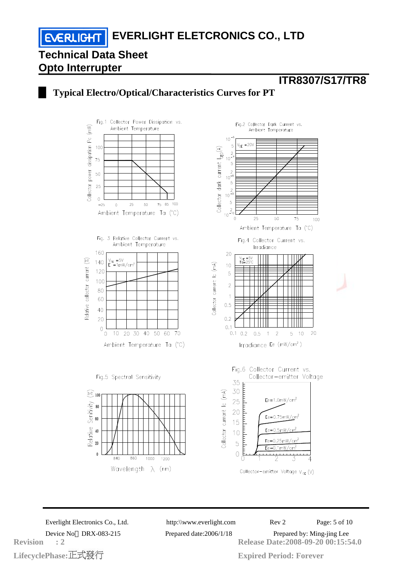### █ **Typical Electro/Optical/Characteristics Curves for PT**



LifecyclePhase:正式發行 **Revision : 2**

**Release Date:2008-09-20 00:15:54.0** Everlight Electronics Co., Ltd. http:\\www.everlight.com Rev 2 Page: 5 of 10 Device No DRX-083-215 Prepared date:2006/1/18 Prepared by: Ming-jing Lee

**ITR8307/S17/TR8**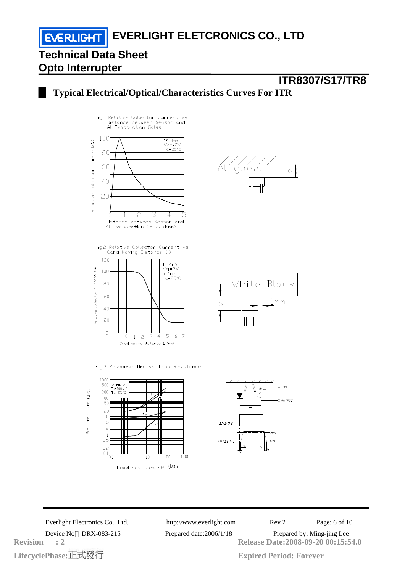**EVERLIGHT** 

### █ **Typical Electrical/Optical/Characteristics Curves For ITR**



Fig.2 Relative Collector Current vs.<br>Card Moving Distance (1)



Fig.3 Response Time vs. Load Resistance





**ITR8307/S17/TR8**





LifecyclePhase:正式發行 **Revision : 2**

**Release Date:2008-09-20 00:15:54.0** Everlight Electronics Co., Ltd. http:\\www.everlight.com Rev 2 Page: 6 of 10 Device No DRX-083-215 Prepared date:2006/1/18 Prepared by: Ming-jing Lee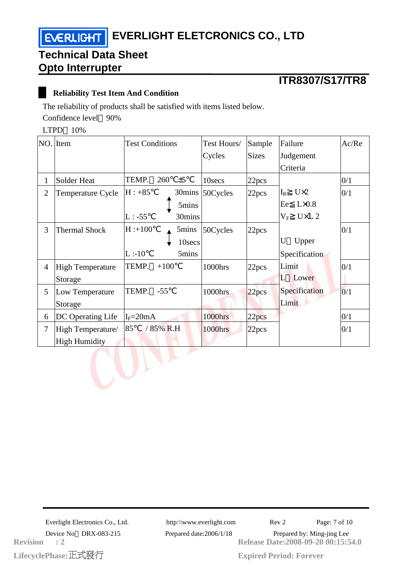## **ITR8307/S17/TR8**

#### █ **Reliability Test Item And Condition**

The reliability of products shall be satisfied with items listed below.

Confidence level 90%

LTPD 10%

|                | NO. Item                | <b>Test Conditions</b> | Test Hours/     | Sample            | Failure                     | Ac/Re |
|----------------|-------------------------|------------------------|-----------------|-------------------|-----------------------------|-------|
|                |                         |                        | Cycles          | <b>Sizes</b>      | Judgement                   |       |
|                |                         |                        |                 |                   | Criteria                    |       |
| $\mathbf{1}$   | Solder Heat             | TEMP.<br>260<br>±5     | 10secs          | 22pcs             |                             | 0/1   |
| $\overline{2}$ | Temperature Cycle       | $H: +85$               | 30mins 50Cycles | 22pcs             | $U\times2$<br>$\rm I_R$     | 0/1   |
|                |                         | 5mins                  |                 |                   | Ee<br>$L \times 0.8$        |       |
|                |                         | $L: -55$<br>30mins     |                 |                   | $U \times 1.2$<br>$\rm V_F$ |       |
| 3              | <b>Thermal Shock</b>    | $H: +100$<br>5mins     | 50Cycles        | 22pcs             |                             | 0/1   |
|                |                         | 10secs                 |                 |                   | U<br>Upper                  |       |
|                |                         | L:10<br>5mins          |                 |                   | Specification               |       |
| $\overline{4}$ | <b>High Temperature</b> | TEMP.<br>$+100$        | 1000hrs         | 22pcs             | Limit                       | 0/1   |
|                | Storage                 |                        |                 |                   | Lower<br>L                  |       |
| 5              | Low Temperature         | TEMP.<br>$-55$         | 1000hrs         | 22 <sub>pcs</sub> | Specification               | 0/1   |
|                | Storage                 |                        |                 |                   | Limit                       |       |
| 6              | DC Operating Life       | $I_F = 20mA$           | 1000hrs         | 22pcs             |                             | 0/1   |
| $\overline{7}$ | High Temperature/       | 85<br>/ 85% R.H        | 1000hrs         | 22pcs             |                             | 0/1   |
|                | <b>High Humidity</b>    |                        |                 |                   |                             |       |
|                |                         |                        |                 |                   |                             |       |
|                |                         |                        |                 |                   |                             |       |
|                |                         |                        |                 |                   |                             |       |

**LifecyclePhase: Revision : 2**

**Release Date:2008-09-20 00:15:54.0** Everlight Electronics Co., Ltd. http:\\www.everlight.com Rev 2 Page: 7 of 10 Device No DRX-083-215 Prepared date:2006/1/18 Prepared by: Ming-jing Lee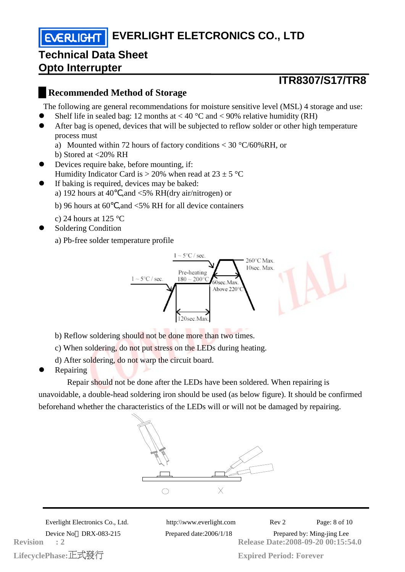**EVERLIGHT EVERLIGHT ELETCRONICS CO., LTD** 

### **Technical Data Sheet Opto Interrupter**

### **ITR8307/S17/TR8**

### █**Recommended Method of Storage**

The following are general recommendations for moisture sensitive level (MSL) 4 storage and use:

- Shelf life in sealed bag: 12 months at  $< 40 °C$  and  $< 90\%$  relative humidity (RH)
- After bag is opened, devices that will be subjected to reflow solder or other high temperature process must
	- a) Mounted within 72 hours of factory conditions < 30 °C/60%RH, or
	- b) Stored at <20% RH
- Devices require bake, before mounting, if: Humidity Indicator Card is  $> 20\%$  when read at  $23 \pm 5$  °C
- If baking is required, devices may be baked:
	- a) 192 hours at 40 ,and <5% RH(dry air/nitrogen) or
	- b) 96 hours at 60 ,and  $\leq$  5% RH for all device containers
	- c) 24 hours at 125  $\degree$ C
- Soldering Condition

a) Pb-free solder temperature profile



- b) Reflow soldering should not be done more than two times.
- c) When soldering, do not put stress on the LEDs during heating.
- d) After soldering, do not warp the circuit board.
- Repairing

 Repair should not be done after the LEDs have been soldered. When repairing is unavoidable, a double-head soldering iron should be used (as below figure). It should be confirmed beforehand whether the characteristics of the LEDs will or will not be damaged by repairing.



**LifecyclePhase: Revision : 2**

**Release Date:2008-09-20 00:15:54.0** Everlight Electronics Co., Ltd. http:\\www.everlight.com Rev 2 Page: 8 of 10 Device No DRX-083-215 Prepared date:2006/1/18 Prepared by: Ming-jing Lee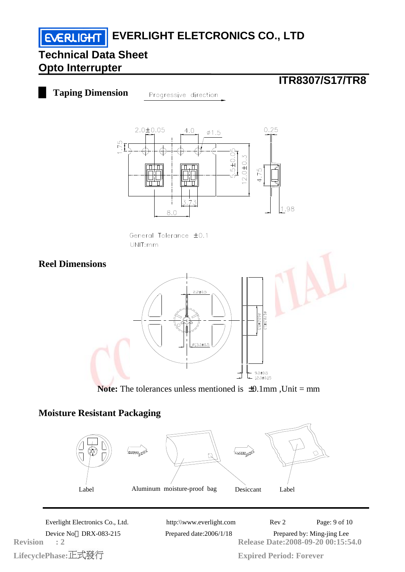# **EVERLIGHT** EVERLIGHT ELETCRONICS CO., LTD

## **Technical Data Sheet Opto Interrupter**

**ITR8307/S17/TR8**

█ **Taping Dimension** Progressive direction



General Tolerance ±0.1  $UNITmm$ 



**Note:** The tolerances unless mentioned is  $\pm 0.1$ mm, Unit = mm

### **Moisture Resistant Packaging**



LifecyclePhase:正式發行 **Revision : 2**

**Release Date:2008-09-20 00:15:54.0** Everlight Electronics Co., Ltd. http:\\www.everlight.com Rev 2 Page: 9 of 10 Device No DRX-083-215 Prepared date:2006/1/18 Prepared by: Ming-jing Lee